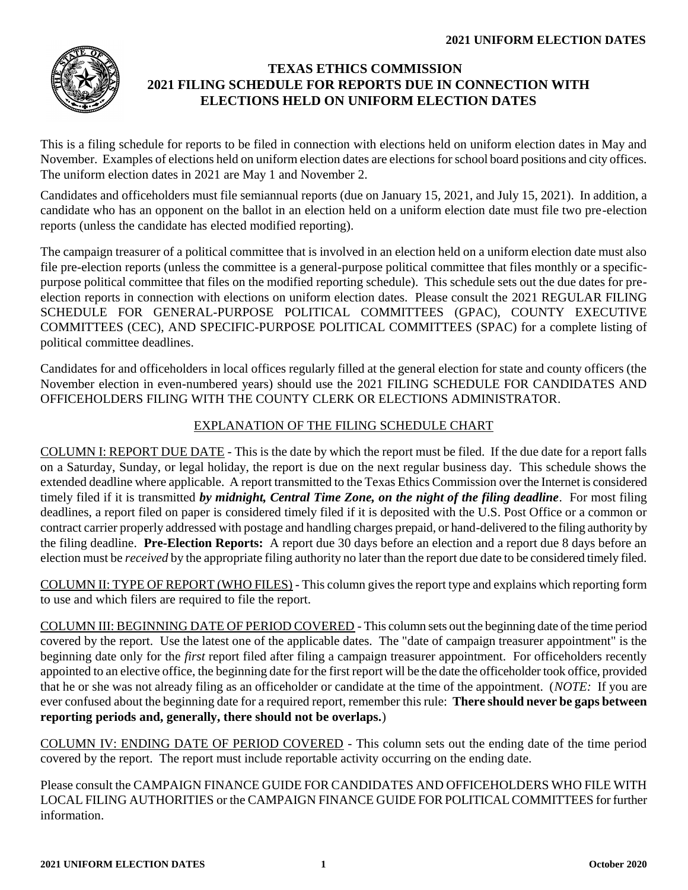

## **TEXAS ETHICS COMMISSION 2021 FILING SCHEDULE FOR REPORTS DUE IN CONNECTION WITH ELECTIONS HELD ON UNIFORM ELECTION DATES**

This is a filing schedule for reports to be filed in connection with elections held on uniform election dates in May and November. Examples of elections held on uniform election dates are elections for school board positions and city offices. The uniform election dates in 2021 are May 1 and November 2.

Candidates and officeholders must file semiannual reports (due on January 15, 2021, and July 15, 2021). In addition, a candidate who has an opponent on the ballot in an election held on a uniform election date must file two pre-election reports (unless the candidate has elected modified reporting).

The campaign treasurer of a political committee that is involved in an election held on a uniform election date must also file pre-election reports (unless the committee is a general-purpose political committee that files monthly or a specificpurpose political committee that files on the modified reporting schedule). This schedule sets out the due dates for preelection reports in connection with elections on uniform election dates. Please consult the 2021 [REGULAR FILING](https://www.ethics.state.tx.us/data/filinginfo/schedules/s21gspac.pdf)  [SCHEDULE FOR GENERAL-PURPOSE POLITICAL COMMITTEES](https://www.ethics.state.tx.us/data/filinginfo/schedules/s21gspac.pdf) (GPAC), COUNTY EXECUTIVE COMMITTEES (CEC), [AND SPECIFIC-PURPOSE POLITICAL COMMITTEES](https://www.ethics.state.tx.us/data/filinginfo/schedules/s21gspac.pdf) (SPAC) for a complete listing of political committee deadlines.

Candidates for and officeholders in local offices regularly filled at the general election for state and county officers (the November election in even-numbered years) should use the 2021 [FILING SCHEDULE FOR CANDIDATES AND](https://www.ethics.state.tx.us/data/filinginfo/schedules/s21county.pdf)  [OFFICEHOLDERS FILING WITH THE COUNTY CLERK OR ELECTIONS ADMINISTRATOR.](https://www.ethics.state.tx.us/data/filinginfo/schedules/s21county.pdf)

#### EXPLANATION OF THE FILING SCHEDULE CHART

COLUMN I: REPORT DUE DATE - This is the date by which the report must be filed. If the due date for a report falls on a Saturday, Sunday, or legal holiday, the report is due on the next regular business day. This schedule shows the extended deadline where applicable. A report transmitted to the Texas Ethics Commission over the Internet is considered timely filed if it is transmitted *by midnight, Central Time Zone, on the night of the filing deadline*. For most filing deadlines, a report filed on paper is considered timely filed if it is deposited with the U.S. Post Office or a common or contract carrier properly addressed with postage and handling charges prepaid, or hand-delivered to the filing authority by the filing deadline. **Pre-Election Reports:** A report due 30 days before an election and a report due 8 days before an election must be *received* by the appropriate filing authority no later than the report due date to be considered timely filed.

COLUMN II: TYPE OF REPORT (WHO FILES) - This column gives the report type and explains which reporting form to use and which filers are required to file the report.

COLUMN III: BEGINNING DATE OF PERIOD COVERED - This column sets out the beginning date of the time period covered by the report. Use the latest one of the applicable dates. The "date of campaign treasurer appointment" is the beginning date only for the *first* report filed after filing a campaign treasurer appointment. For officeholders recently appointed to an elective office, the beginning date for the first report will be the date the officeholder took office, provided that he or she was not already filing as an officeholder or candidate at the time of the appointment. (*NOTE:* If you are ever confused about the beginning date for a required report, remember this rule: **There should never be gaps between reporting periods and, generally, there should not be overlaps.**)

COLUMN IV: ENDING DATE OF PERIOD COVERED - This column sets out the ending date of the time period covered by the report. The report must include reportable activity occurring on the ending date.

Please consult the [CAMPAIGN FINANCE GUIDE FOR CANDIDATES AND OFFICEHOLDERS WHO FILE WITH](https://www.ethics.state.tx.us/guides/coh_local_guide.pdf)  [LOCAL FILING AUTHORITIES](https://www.ethics.state.tx.us/guides/coh_local_guide.pdf) or th[e CAMPAIGN FINANCE GUIDE FOR POLITICAL COMMITTEES](https://www.ethics.state.tx.us/guides/pac_guide.pdf) for further information.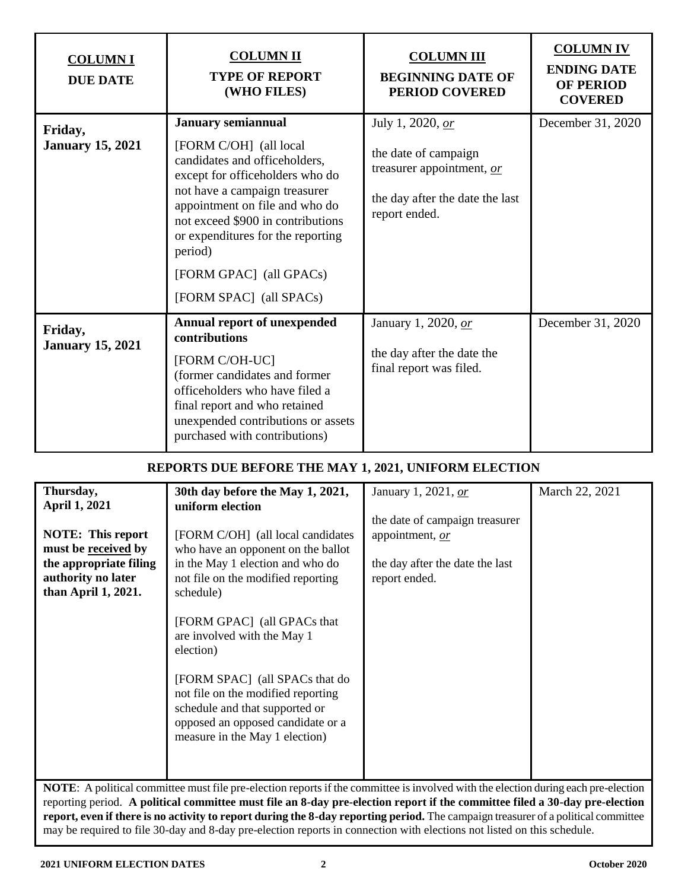| <b>COLUMNI</b><br><b>DUE DATE</b>  | <b>COLUMN II</b><br><b>TYPE OF REPORT</b><br>(WHO FILES)                                                                                                                                                                                                                                                                              | <b>COLUMN III</b><br><b>BEGINNING DATE OF</b><br><b>PERIOD COVERED</b>                                                    | <b>COLUMN IV</b><br><b>ENDING DATE</b><br><b>OF PERIOD</b><br><b>COVERED</b> |
|------------------------------------|---------------------------------------------------------------------------------------------------------------------------------------------------------------------------------------------------------------------------------------------------------------------------------------------------------------------------------------|---------------------------------------------------------------------------------------------------------------------------|------------------------------------------------------------------------------|
| Friday,<br><b>January 15, 2021</b> | <b>January semiannual</b><br>[FORM C/OH] (all local<br>candidates and officeholders,<br>except for officeholders who do<br>not have a campaign treasurer<br>appointment on file and who do<br>not exceed \$900 in contributions<br>or expenditures for the reporting<br>period)<br>[FORM GPAC] (all GPACs)<br>[FORM SPAC] (all SPACs) | July 1, 2020, or<br>the date of campaign<br>treasurer appointment, or<br>the day after the date the last<br>report ended. | December 31, 2020                                                            |
| Friday,<br><b>January 15, 2021</b> | <b>Annual report of unexpended</b><br>contributions<br>[FORM C/OH-UC]<br>(former candidates and former<br>officeholders who have filed a<br>final report and who retained<br>unexpended contributions or assets<br>purchased with contributions)                                                                                      | January 1, 2020, or<br>the day after the date the<br>final report was filed.                                              | December 31, 2020                                                            |

### **REPORTS DUE BEFORE THE MAY 1, 2021, UNIFORM ELECTION**

| Thursday,                                                                                                                                 | 30th day before the May 1, 2021,                                                                                                                                              | January 1, 2021, or                                                                                   | March 22, 2021 |
|-------------------------------------------------------------------------------------------------------------------------------------------|-------------------------------------------------------------------------------------------------------------------------------------------------------------------------------|-------------------------------------------------------------------------------------------------------|----------------|
| April 1, 2021                                                                                                                             | uniform election                                                                                                                                                              |                                                                                                       |                |
| <b>NOTE:</b> This report<br>must be received by<br>the appropriate filing<br>authority no later<br>than April 1, 2021.                    | [FORM C/OH] (all local candidates<br>who have an opponent on the ballot<br>in the May 1 election and who do<br>not file on the modified reporting<br>schedule)                | the date of campaign treasurer<br>appointment, or<br>the day after the date the last<br>report ended. |                |
|                                                                                                                                           | [FORM GPAC] (all GPACs that<br>are involved with the May 1<br>election)                                                                                                       |                                                                                                       |                |
|                                                                                                                                           | [FORM SPAC] (all SPACs that do<br>not file on the modified reporting<br>schedule and that supported or<br>opposed an opposed candidate or a<br>measure in the May 1 election) |                                                                                                       |                |
| <b>NOTE:</b> A political committee must file pre-election reports if the committee is involved with the election during each pre-election |                                                                                                                                                                               |                                                                                                       |                |
| reporting period. A political committee must file an 8-day pre-election report if the committee filed a 30-day pre-election               |                                                                                                                                                                               |                                                                                                       |                |
| report even if there is no activity to report during the 8-day reporting period. The campaign treasurer of a political committee          |                                                                                                                                                                               |                                                                                                       |                |

**report, even if there is no activity to report during the 8-day reporting period.** The campaign treasurer of a political committee may be required to file 30-day and 8-day pre-election reports in connection with elections not listed on this schedule.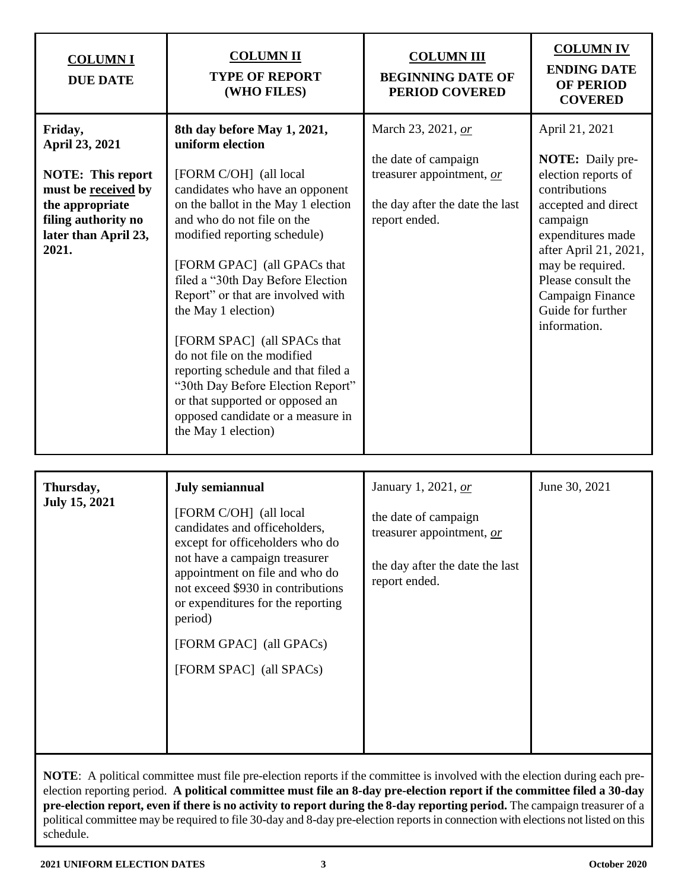| <b>COLUMNI</b><br><b>DUE DATE</b>                                                                                                                       | <b>COLUMN II</b><br><b>TYPE OF REPORT</b><br>(WHO FILES)                                                                                                                                                                                                                                                                                                                                                                                                                                                                                                                                   | <b>COLUMN III</b><br><b>BEGINNING DATE OF</b><br>PERIOD COVERED                                                             | <b>COLUMNIV</b><br><b>ENDING DATE</b><br><b>OF PERIOD</b><br><b>COVERED</b>                                                                                                                                                                                           |
|---------------------------------------------------------------------------------------------------------------------------------------------------------|--------------------------------------------------------------------------------------------------------------------------------------------------------------------------------------------------------------------------------------------------------------------------------------------------------------------------------------------------------------------------------------------------------------------------------------------------------------------------------------------------------------------------------------------------------------------------------------------|-----------------------------------------------------------------------------------------------------------------------------|-----------------------------------------------------------------------------------------------------------------------------------------------------------------------------------------------------------------------------------------------------------------------|
| Friday,<br>April 23, 2021<br><b>NOTE:</b> This report<br>must be received by<br>the appropriate<br>filing authority no<br>later than April 23,<br>2021. | 8th day before May 1, 2021,<br>uniform election<br>[FORM C/OH] (all local<br>candidates who have an opponent<br>on the ballot in the May 1 election<br>and who do not file on the<br>modified reporting schedule)<br>[FORM GPAC] (all GPACs that<br>filed a "30th Day Before Election<br>Report" or that are involved with<br>the May 1 election)<br>[FORM SPAC] (all SPACs that<br>do not file on the modified<br>reporting schedule and that filed a<br>"30th Day Before Election Report"<br>or that supported or opposed an<br>opposed candidate or a measure in<br>the May 1 election) | March 23, 2021, or<br>the date of campaign<br>treasurer appointment, or<br>the day after the date the last<br>report ended. | April 21, 2021<br><b>NOTE:</b> Daily pre-<br>election reports of<br>contributions<br>accepted and direct<br>campaign<br>expenditures made<br>after April 21, 2021,<br>may be required.<br>Please consult the<br>Campaign Finance<br>Guide for further<br>information. |

| Thursday,            | July semiannual                                                                                                                                                                                    | January 1, 2021, or                                                                                   | June 30, 2021 |
|----------------------|----------------------------------------------------------------------------------------------------------------------------------------------------------------------------------------------------|-------------------------------------------------------------------------------------------------------|---------------|
| <b>July 15, 2021</b> | [FORM C/OH] (all local<br>candidates and officeholders,<br>except for officeholders who do<br>not have a campaign treasurer<br>appointment on file and who do<br>not exceed \$930 in contributions | the date of campaign<br>treasurer appointment, or<br>the day after the date the last<br>report ended. |               |
|                      | or expenditures for the reporting<br>period)                                                                                                                                                       |                                                                                                       |               |
|                      | [FORM GPAC] (all GPACs)                                                                                                                                                                            |                                                                                                       |               |
|                      | [FORM SPAC] (all SPACs)                                                                                                                                                                            |                                                                                                       |               |
|                      |                                                                                                                                                                                                    |                                                                                                       |               |
|                      |                                                                                                                                                                                                    |                                                                                                       |               |
|                      |                                                                                                                                                                                                    |                                                                                                       |               |

**NOTE**: A political committee must file pre-election reports if the committee is involved with the election during each preelection reporting period. **A political committee must file an 8-day pre-election report if the committee filed a 30-day pre-election report, even if there is no activity to report during the 8-day reporting period.** The campaign treasurer of a political committee may be required to file 30-day and 8-day pre-election reports in connection with elections not listed on this schedule.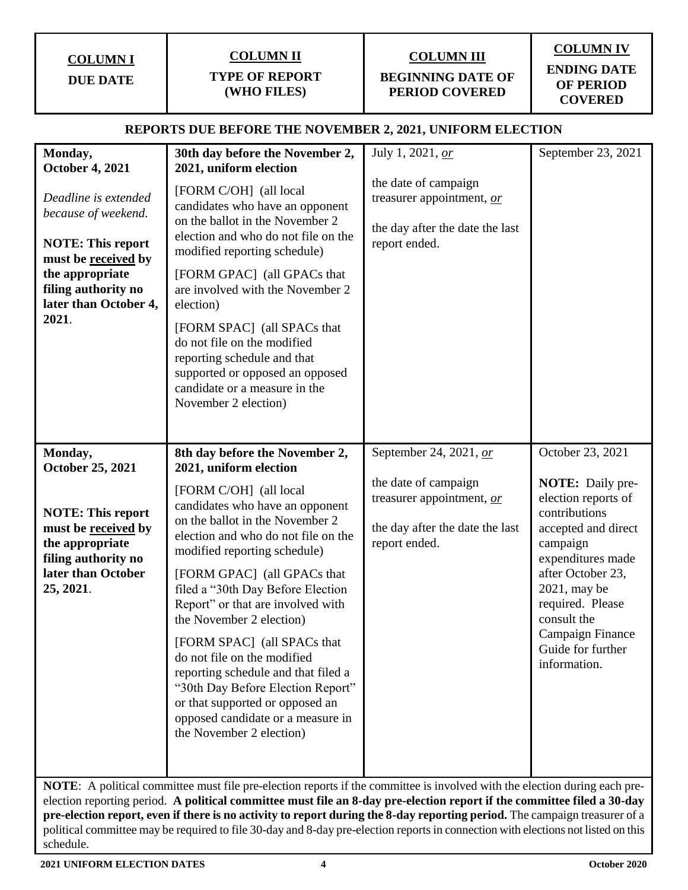**COLUMN I**

**DUE DATE**

# **COLUMN II**

#### **TYPE OF REPORT (WHO FILES)**

# **COLUMN III**

**BEGINNING DATE OF PERIOD COVERED**

# **COLUMN IV ENDING DATE OF PERIOD COVERED**

#### **REPORTS DUE BEFORE THE NOVEMBER 2, 2021, UNIFORM ELECTION**

| Monday,<br><b>October 4, 2021</b><br>Deadline is extended<br>because of weekend.<br><b>NOTE: This report</b><br>must be received by<br>the appropriate<br>filing authority no<br>later than October 4,<br>2021.                                       | 30th day before the November 2,<br>2021, uniform election<br>[FORM C/OH] (all local<br>candidates who have an opponent<br>on the ballot in the November 2<br>election and who do not file on the<br>modified reporting schedule)<br>[FORM GPAC] (all GPACs that<br>are involved with the November 2<br>election)<br>[FORM SPAC] (all SPACs that<br>do not file on the modified<br>reporting schedule and that<br>supported or opposed an opposed<br>candidate or a measure in the<br>November 2 election)                                                                                                          | July 1, 2021, or<br>the date of campaign<br>treasurer appointment, or<br>the day after the date the last<br>report ended.       | September 23, 2021                                                                                                                                                                                                                                                           |
|-------------------------------------------------------------------------------------------------------------------------------------------------------------------------------------------------------------------------------------------------------|--------------------------------------------------------------------------------------------------------------------------------------------------------------------------------------------------------------------------------------------------------------------------------------------------------------------------------------------------------------------------------------------------------------------------------------------------------------------------------------------------------------------------------------------------------------------------------------------------------------------|---------------------------------------------------------------------------------------------------------------------------------|------------------------------------------------------------------------------------------------------------------------------------------------------------------------------------------------------------------------------------------------------------------------------|
| Monday,<br>October 25, 2021<br><b>NOTE: This report</b><br>must be received by<br>the appropriate<br>filing authority no<br>later than October<br>25, 2021.                                                                                           | 8th day before the November 2,<br>2021, uniform election<br>[FORM C/OH] (all local<br>candidates who have an opponent<br>on the ballot in the November 2<br>election and who do not file on the<br>modified reporting schedule)<br>[FORM GPAC] (all GPACs that<br>filed a "30th Day Before Election<br>Report" or that are involved with<br>the November 2 election)<br>[FORM SPAC] (all SPACs that<br>do not file on the modified<br>reporting schedule and that filed a<br>"30th Day Before Election Report"<br>or that supported or opposed an<br>opposed candidate or a measure in<br>the November 2 election) | September 24, 2021, or<br>the date of campaign<br>treasurer appointment, or<br>the day after the date the last<br>report ended. | October 23, 2021<br><b>NOTE:</b> Daily pre-<br>election reports of<br>contributions<br>accepted and direct<br>campaign<br>expenditures made<br>after October 23,<br>2021, may be<br>required. Please<br>consult the<br>Campaign Finance<br>Guide for further<br>information. |
| NOTE: A political committee must file pre-election reports if the committee is involved with the election during each pre-<br>election reporting period. A political committee must file an 8-day pre-election report if the committee filed a 30-day |                                                                                                                                                                                                                                                                                                                                                                                                                                                                                                                                                                                                                    |                                                                                                                                 |                                                                                                                                                                                                                                                                              |

**pre-election report, even if there is no activity to report during the 8-day reporting period.** The campaign treasurer of a political committee may be required to file 30-day and 8-day pre-election reports in connection with elections not listed on this schedule.